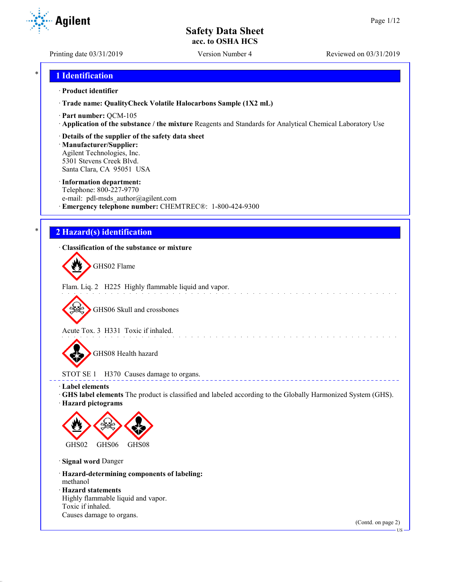Printing date 03/31/2019 Version Number 4 Reviewed on 03/31/2019

## \* **1 Identification**

#### · **Product identifier**

· **Trade name: QualityCheck Volatile Halocarbons Sample (1X2 mL)**

- · **Part number:** QCM-105
- · **Application of the substance / the mixture** Reagents and Standards for Analytical Chemical Laboratory Use
- · **Details of the supplier of the safety data sheet**

· **Manufacturer/Supplier:** Agilent Technologies, Inc. 5301 Stevens Creek Blvd. Santa Clara, CA 95051 USA

#### · **Information department:**

Telephone: 800-227-9770 e-mail: pdl-msds author@agilent.com · **Emergency telephone number:** CHEMTREC®: 1-800-424-9300

## \* **2 Hazard(s) identification**

· **Classification of the substance or mixture**

GHS02 Flame

Flam. Liq. 2 H225 Highly flammable liquid and vapor.

GHS06 Skull and crossbones

Acute Tox. 3 H331 Toxic if inhaled.

GHS08 Health hazard

STOT SE 1 H370 Causes damage to organs.

· **Label elements**

· **GHS label elements** The product is classified and labeled according to the Globally Harmonized System (GHS).

and the state of the state of the

 $\begin{array}{cccccccccc} \bot & \bot & \bot & \bot & \bot \end{array}$ 

· **Hazard pictograms**



· **Signal word** Danger

· **Hazard-determining components of labeling:** methanol

· **Hazard statements**

Highly flammable liquid and vapor. Toxic if inhaled. Causes damage to organs.

(Contd. on page 2)



US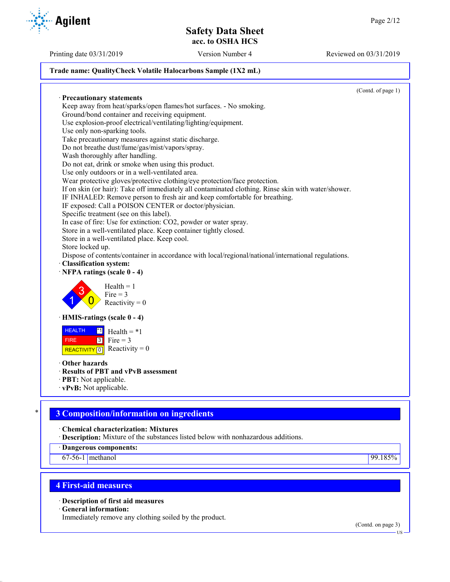## **Trade name: QualityCheck Volatile Halocarbons Sample (1X2 mL)**

(Contd. of page 1) · **Precautionary statements** Keep away from heat/sparks/open flames/hot surfaces. - No smoking. Ground/bond container and receiving equipment. Use explosion-proof electrical/ventilating/lighting/equipment. Use only non-sparking tools. Take precautionary measures against static discharge. Do not breathe dust/fume/gas/mist/vapors/spray. Wash thoroughly after handling. Do not eat, drink or smoke when using this product. Use only outdoors or in a well-ventilated area. Wear protective gloves/protective clothing/eye protection/face protection. If on skin (or hair): Take off immediately all contaminated clothing. Rinse skin with water/shower. IF INHALED: Remove person to fresh air and keep comfortable for breathing. IF exposed: Call a POISON CENTER or doctor/physician. Specific treatment (see on this label). In case of fire: Use for extinction: CO2, powder or water spray. Store in a well-ventilated place. Keep container tightly closed. Store in a well-ventilated place. Keep cool. Store locked up. Dispose of contents/container in accordance with local/regional/national/international regulations. · **Classification system:** · **NFPA ratings (scale 0 - 4)** 1 3  $\overline{0}$  $Health = 1$  $Fire = 3$ Reactivity  $= 0$ · **HMIS-ratings (scale 0 - 4) HEALTH**  FIRE REACTIVITY  $\boxed{0}$  Reactivity = 0  $\overline{1}$  Health = \*1  $3$  Fire = 3 · **Other hazards** · **Results of PBT and vPvB assessment** · **PBT:** Not applicable. · **vPvB:** Not applicable.

# \* **3 Composition/information on ingredients**

· **Chemical characterization: Mixtures**

· **Description:** Mixture of the substances listed below with nonhazardous additions.

· **Dangerous components:**

67-56-1 methanol 99.185%

# **4 First-aid measures**

· **Description of first aid measures**

· **General information:**

Immediately remove any clothing soiled by the product.

(Contd. on page 3) US

Printing date 03/31/2019 Version Number 4 Reviewed on 03/31/2019

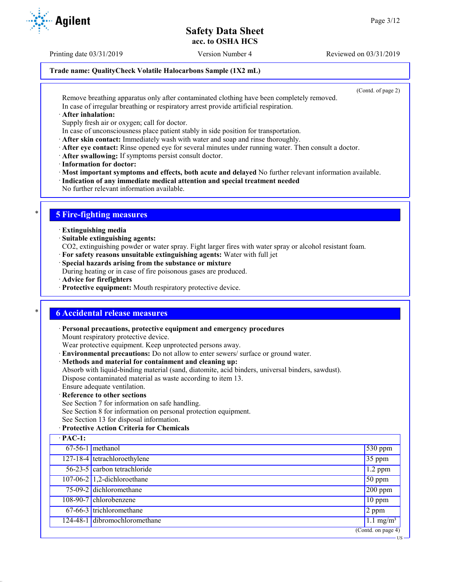Printing date 03/31/2019 Version Number 4 Reviewed on 03/31/2019

#### **Trade name: QualityCheck Volatile Halocarbons Sample (1X2 mL)**

(Contd. of page 2)

US

Remove breathing apparatus only after contaminated clothing have been completely removed. In case of irregular breathing or respiratory arrest provide artificial respiration.

#### · **After inhalation:**

Supply fresh air or oxygen; call for doctor.

- In case of unconsciousness place patient stably in side position for transportation.
- · **After skin contact:** Immediately wash with water and soap and rinse thoroughly.
- · **After eye contact:** Rinse opened eye for several minutes under running water. Then consult a doctor.
- · **After swallowing:** If symptoms persist consult doctor.
- · **Information for doctor:**

· **Most important symptoms and effects, both acute and delayed** No further relevant information available.

- · **Indication of any immediate medical attention and special treatment needed**
- No further relevant information available.

## \* **5 Fire-fighting measures**

- · **Extinguishing media**
- · **Suitable extinguishing agents:**
- CO2, extinguishing powder or water spray. Fight larger fires with water spray or alcohol resistant foam.
- · **For safety reasons unsuitable extinguishing agents:** Water with full jet
- · **Special hazards arising from the substance or mixture**

During heating or in case of fire poisonous gases are produced.

- · **Advice for firefighters**
- · **Protective equipment:** Mouth respiratory protective device.

## \* **6 Accidental release measures**

· **Personal precautions, protective equipment and emergency procedures**

Mount respiratory protective device.

Wear protective equipment. Keep unprotected persons away.

- · **Environmental precautions:** Do not allow to enter sewers/ surface or ground water.
- · **Methods and material for containment and cleaning up:**

Absorb with liquid-binding material (sand, diatomite, acid binders, universal binders, sawdust). Dispose contaminated material as waste according to item 13.

Ensure adequate ventilation.

### · **Reference to other sections**

See Section 7 for information on safe handling.

See Section 8 for information on personal protection equipment.

See Section 13 for disposal information.

## · **Protective Action Criteria for Chemicals**

| $\cdot$ PAC-1: |                               |                      |
|----------------|-------------------------------|----------------------|
|                | $67-56-1$ methanol            | $530$ ppm            |
|                | 127-18-4 tetrachloroethylene  | $35$ ppm             |
|                | 56-23-5 carbon tetrachloride  | $1.2$ ppm            |
|                | $107-06-2$ 1,2-dichloroethane | $150$ ppm            |
|                | 75-09-2 dichloromethane       | $200$ ppm            |
|                | 108-90-7 chlorobenzene        | $10$ ppm             |
|                | 67-66-3 trichloromethane      | 2 ppm                |
|                | 124-48-1 dibromochloromethane | $1.1 \text{ mg/m}^3$ |
|                |                               | (Cond. on page 4)    |

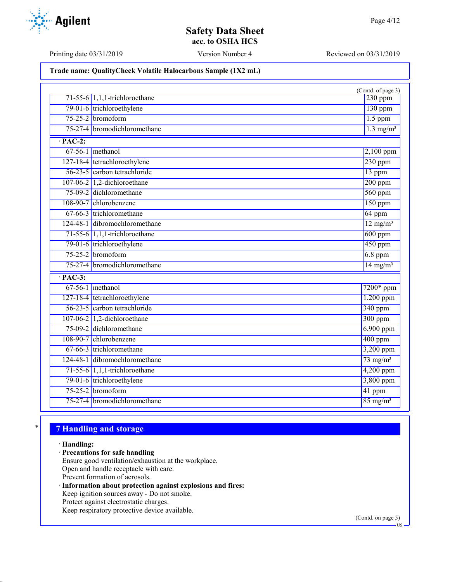### **Trade name: QualityCheck Volatile Halocarbons Sample (1X2 mL)**

|                      |                                  | (Contd. of page 3)      |
|----------------------|----------------------------------|-------------------------|
|                      | 71-55-6 $1,1,1$ -trichloroethane | $230$ ppm               |
|                      | 79-01-6 trichloroethylene        | 130 ppm                 |
|                      | $75-25-2$ bromoform              | $1.5$ ppm               |
|                      | 75-27-4 bromodichloromethane     | $1.3$ mg/m <sup>3</sup> |
| $\cdot$ PAC-2:       |                                  |                         |
|                      | $67-56-1$ methanol               | $2,100$ ppm             |
|                      | 127-18-4 tetrachloroethylene     | $230$ ppm               |
|                      | 56-23-5 carbon tetrachloride     | 13 ppm                  |
|                      | 107-06-2 1,2-dichloroethane      | $200$ ppm               |
|                      | 75-09-2 dichloromethane          | $560$ ppm               |
|                      | 108-90-7 chlorobenzene           | $150$ ppm               |
|                      | 67-66-3 trichloromethane         | 64 ppm                  |
|                      | 124-48-1 dibromochloromethane    | $12 \text{ mg/m}^3$     |
|                      | $71-55-6$ 1,1,1-trichloroethane  | $600$ ppm               |
|                      | 79-01-6 trichloroethylene        | $450$ ppm               |
|                      | $75-25-2$ bromoform              | $6.8$ ppm               |
|                      | 75-27-4 bromodichloromethane     | $14 \text{ mg/m}^3$     |
| $\overline{PAC-3}$ : |                                  |                         |
|                      | $67-56-1$ methanol               | $7200*$ ppm             |
|                      | 127-18-4 tetrachloroethylene     | $1,200$ ppm             |
|                      | 56-23-5 carbon tetrachloride     | 340 ppm                 |
|                      | 107-06-2 1,2-dichloroethane      | $300$ ppm               |
|                      | 75-09-2 dichloromethane          | $6,900$ ppm             |
|                      | 108-90-7 chlorobenzene           | $400$ ppm               |
|                      | 67-66-3 trichloromethane         | 3,200 ppm               |
|                      | 124-48-1 dibromochloromethane    | $73$ mg/m <sup>3</sup>  |
|                      | $71-55-6$ 1,1,1-trichloroethane  | $4,200$ ppm             |
|                      | 79-01-6 trichloroethylene        | 3,800 ppm               |
|                      | $75-25-2$ bromoform              | 41 ppm                  |
|                      | 75-27-4 bromodichloromethane     | $85 \text{ mg/m}^3$     |

# \* **7 Handling and storage**

### · **Handling:**

- · **Precautions for safe handling**
- Ensure good ventilation/exhaustion at the workplace.
- Open and handle receptacle with care.
- Prevent formation of aerosols.
- · **Information about protection against explosions and fires:** Keep ignition sources away - Do not smoke. Protect against electrostatic charges. Keep respiratory protective device available.

(Contd. on page 5)



Printing date 03/31/2019 Version Number 4 Reviewed on 03/31/2019

US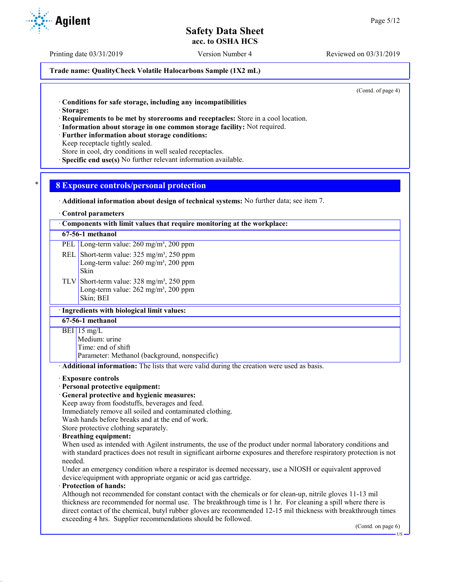Printing date 03/31/2019 Version Number 4 Reviewed on 03/31/2019

**Trade name: QualityCheck Volatile Halocarbons Sample (1X2 mL)**

(Contd. of page 4)

· **Conditions for safe storage, including any incompatibilities**

· **Storage:**

· **Requirements to be met by storerooms and receptacles:** Store in a cool location.

- · **Information about storage in one common storage facility:** Not required.
- · **Further information about storage conditions:**

Keep receptacle tightly sealed.

Store in cool, dry conditions in well sealed receptacles.

· **Specific end use(s)** No further relevant information available.

## \* **8 Exposure controls/personal protection**

· **Additional information about design of technical systems:** No further data; see item 7.

#### · **Control parameters**

· **Components with limit values that require monitoring at the workplace:**

### **67-56-1 methanol**

- PEL Long-term value: 260 mg/m<sup>3</sup>, 200 ppm REL Short-term value: 325 mg/m<sup>3</sup>, 250 ppm Long-term value: 260 mg/m<sup>3</sup>, 200 ppm Skin
- TLV Short-term value:  $328 \text{ mg/m}^3$ ,  $250 \text{ ppm}$ Long-term value: 262 mg/m<sup>3</sup>, 200 ppm Skin; BEI

### · **Ingredients with biological limit values:**

**67-56-1 methanol**

#### BEI 15 mg/L

Medium: urine Time: end of shift Parameter: Methanol (background, nonspecific)

· **Additional information:** The lists that were valid during the creation were used as basis.

#### · **Exposure controls**

- · **Personal protective equipment:**
- · **General protective and hygienic measures:**

Keep away from foodstuffs, beverages and feed.

Immediately remove all soiled and contaminated clothing.

Wash hands before breaks and at the end of work.

- Store protective clothing separately.
- · **Breathing equipment:**

When used as intended with Agilent instruments, the use of the product under normal laboratory conditions and with standard practices does not result in significant airborne exposures and therefore respiratory protection is not needed.

Under an emergency condition where a respirator is deemed necessary, use a NIOSH or equivalent approved device/equipment with appropriate organic or acid gas cartridge.

## · **Protection of hands:**

Although not recommended for constant contact with the chemicals or for clean-up, nitrile gloves 11-13 mil thickness are recommended for normal use. The breakthrough time is 1 hr. For cleaning a spill where there is direct contact of the chemical, butyl rubber gloves are recommended 12-15 mil thickness with breakthrough times exceeding 4 hrs. Supplier recommendations should be followed.

(Contd. on page 6)



US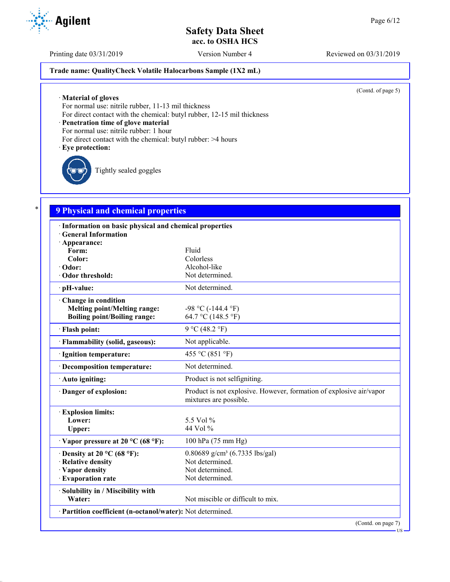Printing date 03/31/2019 Version Number 4 Reviewed on 03/31/2019

### **Trade name: QualityCheck Volatile Halocarbons Sample (1X2 mL)**

(Contd. of page 5)

US

· **Material of gloves**

For normal use: nitrile rubber, 11-13 mil thickness

For direct contact with the chemical: butyl rubber, 12-15 mil thickness

· **Penetration time of glove material**

For normal use: nitrile rubber: 1 hour

For direct contact with the chemical: butyl rubber: >4 hours

#### · **Eye protection:**

Tightly sealed goggles

# \* **9 Physical and chemical properties**

| · Information on basic physical and chemical properties    |                                                                                               |  |
|------------------------------------------------------------|-----------------------------------------------------------------------------------------------|--|
| <b>General Information</b>                                 |                                                                                               |  |
| · Appearance:                                              |                                                                                               |  |
| Form:                                                      | Fluid                                                                                         |  |
| Color:                                                     | Colorless                                                                                     |  |
| Odor:                                                      | Alcohol-like                                                                                  |  |
| Odor threshold:                                            | Not determined.                                                                               |  |
| · pH-value:                                                | Not determined.                                                                               |  |
| Change in condition                                        |                                                                                               |  |
| <b>Melting point/Melting range:</b>                        | $-98$ °C ( $-144.4$ °F)                                                                       |  |
| <b>Boiling point/Boiling range:</b>                        | 64.7 °C (148.5 °F)                                                                            |  |
| · Flash point:                                             | 9 °C (48.2 °F)                                                                                |  |
| · Flammability (solid, gaseous):                           | Not applicable.                                                                               |  |
| · Ignition temperature:                                    | 455 °C (851 °F)                                                                               |  |
| · Decomposition temperature:                               | Not determined.                                                                               |  |
| · Auto igniting:                                           | Product is not selfigniting.                                                                  |  |
| · Danger of explosion:                                     | Product is not explosive. However, formation of explosive air/vapor<br>mixtures are possible. |  |
| <b>Explosion limits:</b>                                   |                                                                                               |  |
| Lower:                                                     | 5.5 Vol %                                                                                     |  |
| Upper:                                                     | 44 Vol %                                                                                      |  |
| $\cdot$ Vapor pressure at 20 °C (68 °F):                   | 100 hPa (75 mm Hg)                                                                            |  |
| $\cdot$ Density at 20 °C (68 °F):                          | 0.80689 g/cm <sup>3</sup> (6.7335 lbs/gal)                                                    |  |
| · Relative density                                         | Not determined.                                                                               |  |
| · Vapor density                                            | Not determined.                                                                               |  |
| · Evaporation rate                                         | Not determined.                                                                               |  |
| · Solubility in / Miscibility with                         |                                                                                               |  |
| Water:                                                     | Not miscible or difficult to mix.                                                             |  |
| · Partition coefficient (n-octanol/water): Not determined. |                                                                                               |  |
|                                                            | (Contd. on page 7)                                                                            |  |

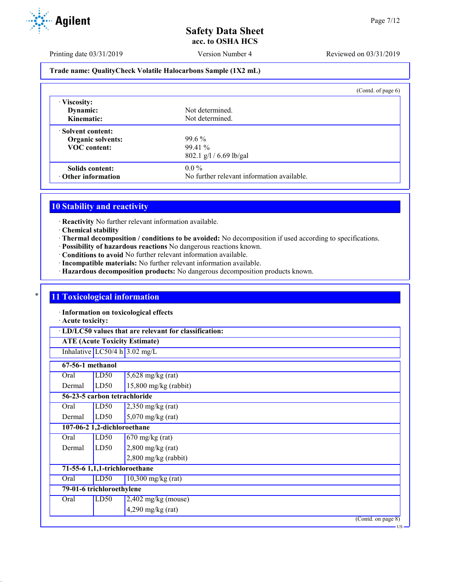

US

Printing date 03/31/2019 Version Number 4 Reviewed on 03/31/2019

### **Trade name: QualityCheck Volatile Halocarbons Sample (1X2 mL)**

|                           | (Contd. of page 6)                         |
|---------------------------|--------------------------------------------|
| · Viscosity:              |                                            |
| Dynamic:                  | Not determined.                            |
| Kinematic:                | Not determined.                            |
| Solvent content:          |                                            |
| <b>Organic solvents:</b>  | $99.6\%$                                   |
| <b>VOC</b> content:       | $99.41\%$                                  |
|                           | $802.1$ g/l / 6.69 lb/gal                  |
| Solids content:           | $0.0\%$                                    |
| $\cdot$ Other information | No further relevant information available. |

## **10 Stability and reactivity**

· **Reactivity** No further relevant information available.

- · **Chemical stability**
- · **Thermal decomposition / conditions to be avoided:** No decomposition if used according to specifications.
- · **Possibility of hazardous reactions** No dangerous reactions known.
- · **Conditions to avoid** No further relevant information available.
- · **Incompatible materials:** No further relevant information available.
- · **Hazardous decomposition products:** No dangerous decomposition products known.

## **11 Toxicological information**

· **Information on toxicological effects**

· **Acute toxicity:**

· **LD/LC50 values that are relevant for classification:**

**ATE (Acute Toxicity Estimate)**

Inhalative  $LC50/4$  h  $3.02$  mg/L

|        | 67-56-1 methanol          |                               |                    |
|--------|---------------------------|-------------------------------|--------------------|
| Oral   | LD50                      | $5,628$ mg/kg (rat)           |                    |
| Dermal | LD50                      | $15,800$ mg/kg (rabbit)       |                    |
|        |                           | 56-23-5 carbon tetrachloride  |                    |
| Oral   | LD50                      | $2,350$ mg/kg (rat)           |                    |
| Dermal | LD50                      | $5,070$ mg/kg (rat)           |                    |
|        |                           | 107-06-2 1,2-dichloroethane   |                    |
| Oral   | LD50                      | $670$ mg/kg (rat)             |                    |
| Dermal | LD50                      | $2,800$ mg/kg (rat)           |                    |
|        |                           | $2,800$ mg/kg (rabbit)        |                    |
|        |                           | 71-55-6 1,1,1-trichloroethane |                    |
| Oral   | LD50                      | $10,300$ mg/kg (rat)          |                    |
|        | 79-01-6 trichloroethylene |                               |                    |
| Oral   | LD50                      | $2,402$ mg/kg (mouse)         |                    |
|        |                           | $4,290$ mg/kg (rat)           |                    |
|        |                           |                               | (Contd. on page 8) |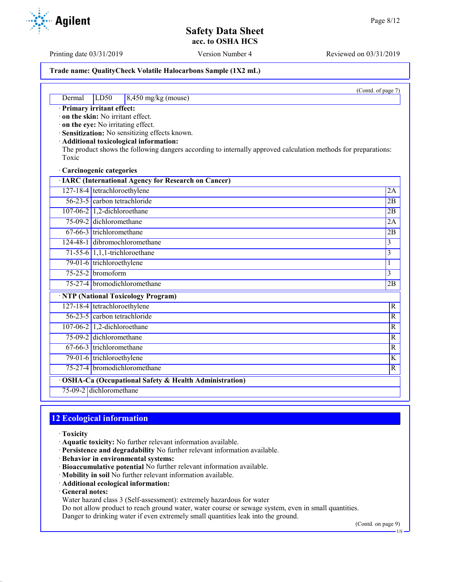Printing date 03/31/2019 Version Number 4 Reviewed on 03/31/2019

#### **Trade name: QualityCheck Volatile Halocarbons Sample (1X2 mL)**

(Contd. of page 7)

### Dermal LD50 8,450 mg/kg (mouse)

· **Primary irritant effect:**

· **on the skin:** No irritant effect.

· **on the eye:** No irritating effect.

· **Sensitization:** No sensitizing effects known.

· **Additional toxicological information:**

The product shows the following dangers according to internally approved calculation methods for preparations: Toxic

· **Carcinogenic categories**

| · IARC (International Agency for Research on Cancer)    |                                     |                         |  |
|---------------------------------------------------------|-------------------------------------|-------------------------|--|
|                                                         | 127-18-4 tetrachloroethylene        | 2A                      |  |
|                                                         | 56-23-5 carbon tetrachloride        | 2B                      |  |
|                                                         | 107-06-2 $\vert$ 1,2-dichloroethane | 2B                      |  |
|                                                         | 75-09-2 dichloromethane             | 2A                      |  |
|                                                         | $67-66-3$ trichloromethane          | 2B                      |  |
|                                                         | 124-48-1 dibromochloromethane       | $\overline{3}$          |  |
|                                                         | 71-55-6 $1,1,1$ -trichloroethane    | $\overline{3}$          |  |
|                                                         | 79-01-6 trichloroethylene           | 1                       |  |
|                                                         | $75-25-2$ bromoform                 | 3                       |  |
|                                                         | 75-27-4 bromodichloromethane        | 2B                      |  |
|                                                         | · NTP (National Toxicology Program) |                         |  |
|                                                         | 127-18-4 tetrachloroethylene        | $\overline{R}$          |  |
|                                                         | 56-23-5 carbon tetrachloride        | $\mathbb{R}$            |  |
|                                                         | 107-06-2 $\vert$ 1,2-dichloroethane | $\mathbb{R}$            |  |
|                                                         | 75-09-2 dichloromethane             | $\overline{R}$          |  |
|                                                         | 67-66-3 trichloromethane            | $\overline{R}$          |  |
|                                                         | 79-01-6 trichloroethylene           | $\overline{\mathbf{K}}$ |  |
|                                                         | 75-27-4 bromodichloromethane        | $\mathbb{R}$            |  |
| · OSHA-Ca (Occupational Safety & Health Administration) |                                     |                         |  |
|                                                         | 75-09-2 dichloromethane             |                         |  |

## **12 Ecological information**

- · **Toxicity**
- · **Aquatic toxicity:** No further relevant information available.
- · **Persistence and degradability** No further relevant information available.
- · **Behavior in environmental systems:**
- · **Bioaccumulative potential** No further relevant information available.
- · **Mobility in soil** No further relevant information available.
- · **Additional ecological information:**
- · **General notes:**

Water hazard class 3 (Self-assessment): extremely hazardous for water

Do not allow product to reach ground water, water course or sewage system, even in small quantities. Danger to drinking water if even extremely small quantities leak into the ground.

(Contd. on page 9)

US

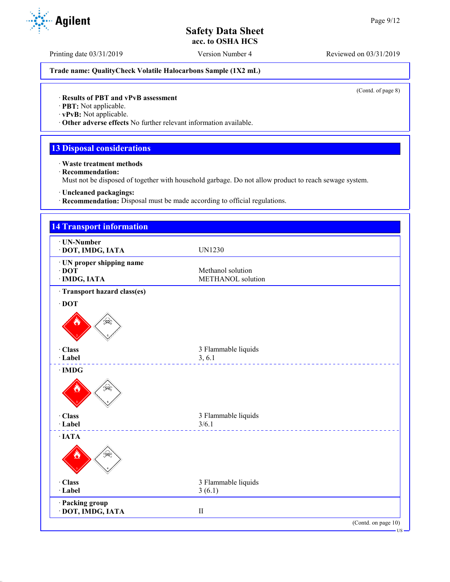Printing date 03/31/2019 Version Number 4 Reviewed on 03/31/2019

**Trade name: QualityCheck Volatile Halocarbons Sample (1X2 mL)**

(Contd. of page 8)

## · **Results of PBT and vPvB assessment**

· **PBT:** Not applicable.

· **vPvB:** Not applicable.

· **Other adverse effects** No further relevant information available.

# **13 Disposal considerations**

· **Waste treatment methods**

· **Recommendation:**

Must not be disposed of together with household garbage. Do not allow product to reach sewage system.

· **Uncleaned packagings:**

· **Recommendation:** Disposal must be made according to official regulations.

| <b>14 Transport information</b>                          |                                                     |
|----------------------------------------------------------|-----------------------------------------------------|
| · UN-Number<br>· DOT, IMDG, IATA                         | <b>UN1230</b>                                       |
| · UN proper shipping name<br>$\cdot$ DOT<br>· IMDG, IATA | Methanol solution<br>METHANOL solution              |
| · Transport hazard class(es)                             |                                                     |
| $\cdot$ DOT<br>€€                                        |                                                     |
| · Class<br>· Label                                       | 3 Flammable liquids<br>3, 6.1<br><u>L'ELELLETTE</u> |
| $\cdot$ IMDG<br>طينك                                     |                                                     |
| · Class<br>· Label                                       | 3 Flammable liquids<br>3/6.1                        |
| $\cdot$ IATA                                             | <u>.</u>                                            |
| · Class<br>· Label                                       | 3 Flammable liquids<br>3(6.1)                       |
| · Packing group<br>· DOT, IMDG, IATA                     | $\rm II$                                            |
|                                                          | (Contd. on page 10)                                 |

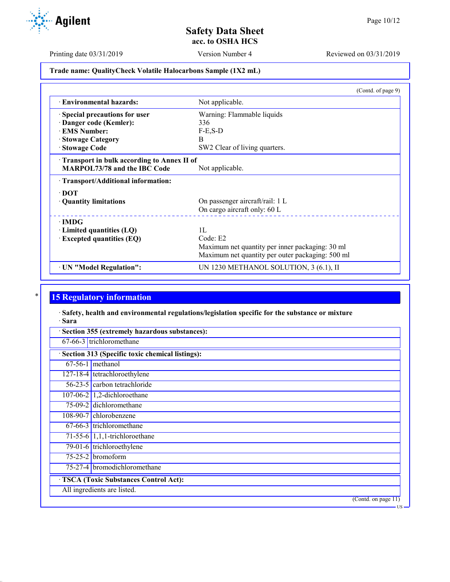Printing date 03/31/2019 Version Number 4 Reviewed on 03/31/2019

## **Trade name: QualityCheck Volatile Halocarbons Sample (1X2 mL)**

|                                            | (Contd. of page 9)                               |
|--------------------------------------------|--------------------------------------------------|
| <b>Environmental hazards:</b>              | Not applicable.                                  |
| Special precautions for user               | Warning: Flammable liquids                       |
| Danger code (Kemler):                      | 336                                              |
| <b>EMS</b> Number:                         | $F-E$ , $S-D$                                    |
| · Stowage Category                         | B                                                |
| · Stowage Code                             | SW2 Clear of living quarters.                    |
| Transport in bulk according to Annex II of |                                                  |
| <b>MARPOL73/78 and the IBC Code</b>        | Not applicable.                                  |
| · Transport/Additional information:        |                                                  |
| $\cdot$ DOT                                |                                                  |
| · Quantity limitations                     | On passenger aircraft/rail: 1 L                  |
|                                            | On cargo aircraft only: 60 L                     |
| $\cdot$ IMDG                               |                                                  |
| $\cdot$ Limited quantities (LQ)            | 1L                                               |
| $\cdot$ Excepted quantities (EQ)           | Code: E2                                         |
|                                            | Maximum net quantity per inner packaging: 30 ml  |
|                                            | Maximum net quantity per outer packaging: 500 ml |
| · UN "Model Regulation":                   | UN 1230 METHANOL SOLUTION, 3 (6.1), II           |

# **15 Regulatory information**

· **Safety, health and environmental regulations/legislation specific for the substance or mixture** · **Sara**

| · Section 313 (Specific toxic chemical listings): |
|---------------------------------------------------|
| $67-56-1$ methanol                                |
| 127-18-4 tetrachloroethylene                      |
| 56-23-5 carbon tetrachloride                      |
| 107-06-2 $\vert$ 1,2-dichloroethane               |
| 75-09-2 dichloromethane                           |
| 108-90-7 chlorobenzene                            |
| 67-66-3 trichloromethane                          |
| 71-55-6 $1,1,1$ -trichloroethane                  |
| 79-01-6 trichloroethylene                         |
| $75-25-2$ bromoform                               |
| 75-27-4 bromodichloromethane                      |
| · TSCA (Toxic Substances Control Act):            |
| All ingredients are listed.                       |

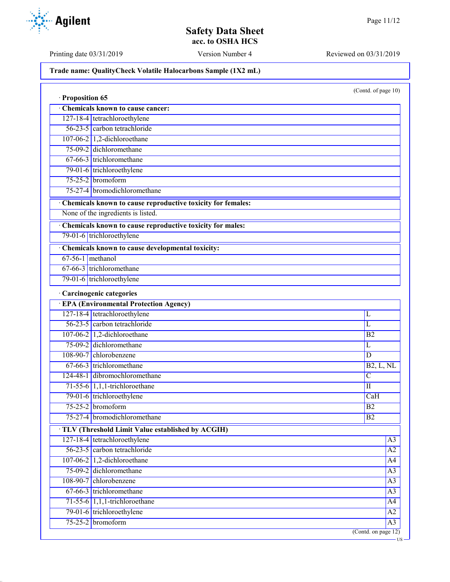Printing date 03/31/2019 Version Number 4 Reviewed on 03/31/2019

**Trade name: QualityCheck Volatile Halocarbons Sample (1X2 mL)**

(Contd. of page 10)

US

| · Proposition 65   |                                                             |                     |
|--------------------|-------------------------------------------------------------|---------------------|
|                    | Chemicals known to cause cancer:                            |                     |
|                    | 127-18-4 tetrachloroethylene                                |                     |
|                    | 56-23-5 carbon tetrachloride                                |                     |
|                    | $107-06-2$ 1,2-dichloroethane                               |                     |
|                    | 75-09-2 dichloromethane                                     |                     |
|                    | 67-66-3 trichloromethane                                    |                     |
|                    | 79-01-6 trichloroethylene                                   |                     |
|                    | $75-25-2$ bromoform                                         |                     |
|                    | 75-27-4 bromodichloromethane                                |                     |
|                    | Chemicals known to cause reproductive toxicity for females: |                     |
|                    | None of the ingredients is listed.                          |                     |
|                    | Chemicals known to cause reproductive toxicity for males:   |                     |
|                    | 79-01-6 trichloroethylene                                   |                     |
|                    | Chemicals known to cause developmental toxicity:            |                     |
| $67-56-1$ methanol |                                                             |                     |
|                    | 67-66-3 trichloromethane                                    |                     |
|                    | 79-01-6 trichloroethylene                                   |                     |
|                    | · Carcinogenic categories                                   |                     |
|                    | <b>EPA (Environmental Protection Agency)</b>                |                     |
|                    | 127-18-4 tetrachloroethylene                                | L                   |
|                    | 56-23-5 carbon tetrachloride                                | L                   |
|                    | 107-06-2 1,2-dichloroethane                                 | B2                  |
|                    | 75-09-2 dichloromethane                                     | L                   |
|                    | 108-90-7 chlorobenzene                                      | D                   |
|                    | 67-66-3 trichloromethane                                    | B2, L, NL           |
|                    | 124-48-1 dibromochloromethane                               | $\overline{C}$      |
|                    | $71-55-6$ 1,1,1-trichloroethane                             | $\overline{\rm II}$ |
|                    | 79-01-6 trichloroethylene                                   | CaH                 |
|                    | $75-25-2$ bromoform                                         | B <sub>2</sub>      |
|                    | 75-27-4 bromodichloromethane                                | $\overline{B2}$     |
|                    | TLV (Threshold Limit Value established by ACGIH)            |                     |
|                    | 127-18-4 tetrachloroethylene                                | A <sub>3</sub>      |
|                    | 56-23-5 carbon tetrachloride                                | A2                  |
|                    | 107-06-2 1,2-dichloroethane                                 | A4                  |
|                    | 75-09-2 dichloromethane                                     | $\overline{A3}$     |
|                    | 108-90-7 chlorobenzene                                      | $\overline{A3}$     |
|                    | 67-66-3 trichloromethane                                    | A3                  |
|                    | $71-55-6$ 1,1,1-trichloroethane                             | $\overline{A4}$     |
|                    | 79-01-6 trichloroethylene                                   | $\overline{A2}$     |
|                    | $75-25-2$ bromoform                                         | A <sub>3</sub>      |
|                    |                                                             | (Contd. on page 12) |